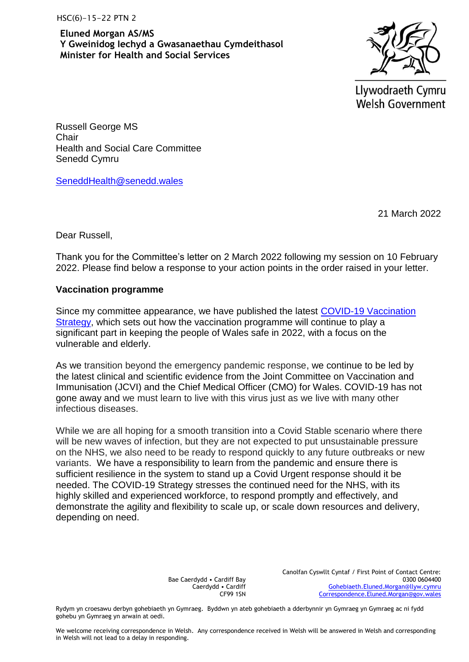HSC(6)-15-22 PTN 2

**Eluned Morgan AS/MS Y Gweinidog Iechyd a Gwasanaethau Cymdeithasol Minister for Health and Social Services**



Llywodraeth Cymru **Welsh Government** 

Russell George MS **Chair** Health and Social Care Committee Senedd Cymru

[SeneddHealth@senedd.wales](mailto:SeneddHealth@senedd.wales)

21 March 2022

Dear Russell,

Thank you for the Committee's letter on 2 March 2022 following my session on 10 February 2022. Please find below a response to your action points in the order raised in your letter.

## **Vaccination programme**

Since my committee appearance, we have published the latest [COVID-19 Vaccination](https://eur01.safelinks.protection.outlook.com/?url=https%3A%2F%2Fgov.wales%2Fsites%2Fdefault%2Ffiles%2Fpublications%2F2022-03%2Fcovid-19-vaccination-strategy-for-2022_0.pdf&data=04%7C01%7Cpstodgforhsscenhswales%40gov.wales%7C7b74c9d67ae042b9c3db08da059ceec6%7Ca2cc36c592804ae78887d06dab89216b%7C0%7C0%7C637828468928233978%7CUnknown%7CTWFpbGZsb3d8eyJWIjoiMC4wLjAwMDAiLCJQIjoiV2luMzIiLCJBTiI6Ik1haWwiLCJXVCI6Mn0%3D%7C3000&sdata=oYwdeIfYsYrJYiaO1v3Gcvxk2zxARC%2BIMsWHrRhOtC4%3D&reserved=0)  [Strategy,](https://eur01.safelinks.protection.outlook.com/?url=https%3A%2F%2Fgov.wales%2Fsites%2Fdefault%2Ffiles%2Fpublications%2F2022-03%2Fcovid-19-vaccination-strategy-for-2022_0.pdf&data=04%7C01%7Cpstodgforhsscenhswales%40gov.wales%7C7b74c9d67ae042b9c3db08da059ceec6%7Ca2cc36c592804ae78887d06dab89216b%7C0%7C0%7C637828468928233978%7CUnknown%7CTWFpbGZsb3d8eyJWIjoiMC4wLjAwMDAiLCJQIjoiV2luMzIiLCJBTiI6Ik1haWwiLCJXVCI6Mn0%3D%7C3000&sdata=oYwdeIfYsYrJYiaO1v3Gcvxk2zxARC%2BIMsWHrRhOtC4%3D&reserved=0) which sets out how the vaccination programme will continue to play a significant part in keeping the people of Wales safe in 2022, with a focus on the vulnerable and elderly.

As we transition beyond the emergency pandemic response, we continue to be led by the latest clinical and scientific evidence from the Joint Committee on Vaccination and Immunisation (JCVI) and the Chief Medical Officer (CMO) for Wales. COVID-19 has not gone away and we must learn to live with this virus just as we live with many other infectious diseases.

While we are all hoping for a smooth transition into a Covid Stable scenario where there will be new waves of infection, but they are not expected to put unsustainable pressure on the NHS, we also need to be ready to respond quickly to any future outbreaks or new variants. We have a responsibility to learn from the pandemic and ensure there is sufficient resilience in the system to stand up a Covid Urgent response should it be needed. The COVID-19 Strategy stresses the continued need for the NHS, with its highly skilled and experienced workforce, to respond promptly and effectively, and demonstrate the agility and flexibility to scale up, or scale down resources and delivery, depending on need.

> Bae Caerdydd • Cardiff Bay Caerdydd • Cardiff CF99 1SN

Canolfan Cyswllt Cyntaf / First Point of Contact Centre: 0300 0604400 [Gohebiaeth.Eluned.Morgan@llyw.cymru](mailto:Gohebiaeth.Eluned.Morgan@llyw.cymru) [Correspondence.Eluned.Morgan@gov.wales](mailto:Correspondence.Eluned.Morgan@gov.wales)

Rydym yn croesawu derbyn gohebiaeth yn Gymraeg. Byddwn yn ateb gohebiaeth a dderbynnir yn Gymraeg yn Gymraeg ac ni fydd gohebu yn Gymraeg yn arwain at oedi.

We welcome receiving correspondence in Welsh. Any correspondence received in Welsh will be answered in Welsh and corresponding in Welsh will not lead to a delay in responding.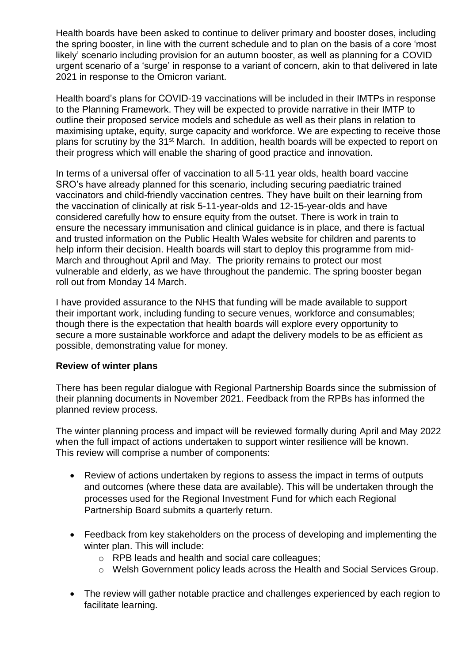Health boards have been asked to continue to deliver primary and booster doses, including the spring booster, in line with the current schedule and to plan on the basis of a core 'most likely' scenario including provision for an autumn booster, as well as planning for a COVID urgent scenario of a 'surge' in response to a variant of concern, akin to that delivered in late 2021 in response to the Omicron variant.

Health board's plans for COVID-19 vaccinations will be included in their IMTPs in response to the Planning Framework. They will be expected to provide narrative in their IMTP to outline their proposed service models and schedule as well as their plans in relation to maximising uptake, equity, surge capacity and workforce. We are expecting to receive those plans for scrutiny by the 31st March. In addition, health boards will be expected to report on their progress which will enable the sharing of good practice and innovation.

In terms of a universal offer of vaccination to all 5-11 year olds, health board vaccine SRO's have already planned for this scenario, including securing paediatric trained vaccinators and child-friendly vaccination centres. They have built on their learning from the vaccination of clinically at risk 5-11-year-olds and 12-15-year-olds and have considered carefully how to ensure equity from the outset. There is work in train to ensure the necessary immunisation and clinical guidance is in place, and there is factual and trusted information on the Public Health Wales website for children and parents to help inform their decision. Health boards will start to deploy this programme from mid-March and throughout April and May. The priority remains to protect our most vulnerable and elderly, as we have throughout the pandemic. The spring booster began roll out from Monday 14 March.

I have provided assurance to the NHS that funding will be made available to support their important work, including funding to secure venues, workforce and consumables; though there is the expectation that health boards will explore every opportunity to secure a more sustainable workforce and adapt the delivery models to be as efficient as possible, demonstrating value for money.

## **Review of winter plans**

There has been regular dialogue with Regional Partnership Boards since the submission of their planning documents in November 2021. Feedback from the RPBs has informed the planned review process.

The winter planning process and impact will be reviewed formally during April and May 2022 when the full impact of actions undertaken to support winter resilience will be known. This review will comprise a number of components:

- Review of actions undertaken by regions to assess the impact in terms of outputs and outcomes (where these data are available). This will be undertaken through the processes used for the Regional Investment Fund for which each Regional Partnership Board submits a quarterly return.
- Feedback from key stakeholders on the process of developing and implementing the winter plan. This will include:
	- o RPB leads and health and social care colleagues;
	- o Welsh Government policy leads across the Health and Social Services Group.
- The review will gather notable practice and challenges experienced by each region to facilitate learning.